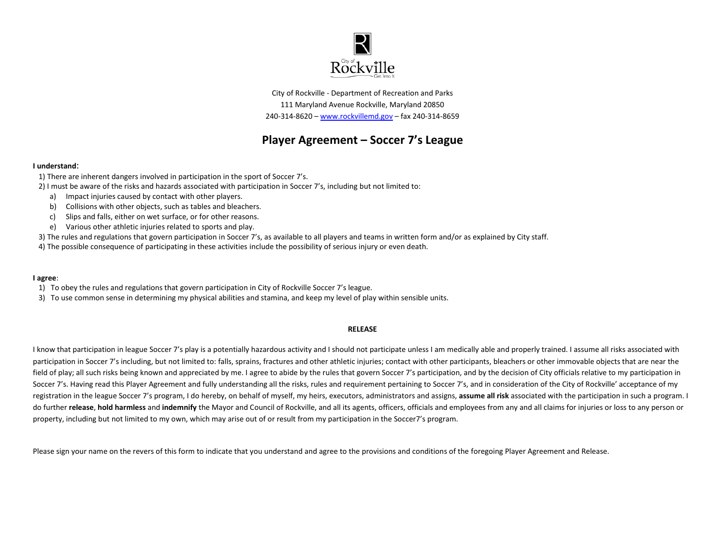

City of Rockville - Department of Recreation and Parks 111 Maryland Avenue Rockville, Maryland 20850 240-314-8620 – [www.rockvillemd.gov](http://www.rockvillemd.gov/) – fax 240-314-8659

## **Player Agreement – Soccer 7's League**

## **I understand**:

- 1) There are inherent dangers involved in participation in the sport of Soccer 7's.
- 2) I must be aware of the risks and hazards associated with participation in Soccer 7's, including but not limited to:
	- a) Impact injuries caused by contact with other players.
	- b) Collisions with other objects, such as tables and bleachers.
	- c) Slips and falls, either on wet surface, or for other reasons.
	- e) Various other athletic injuries related to sports and play.
- 3) The rules and regulations that govern participation in Soccer 7's, as available to all players and teams in written form and/or as explained by City staff.
- 4) The possible consequence of participating in these activities include the possibility of serious injury or even death.

## **I agree**:

- 1) To obey the rules and regulations that govern participation in City of Rockville Soccer 7's league.
- 3) To use common sense in determining my physical abilities and stamina, and keep my level of play within sensible units.

## **RELEASE**

I know that participation in league Soccer 7's play is a potentially hazardous activity and I should not participate unless I am medically able and properly trained. I assume all risks associated with participation in Soccer 7's including, but not limited to: falls, sprains, fractures and other athletic injuries; contact with other participants, bleachers or other immovable objects that are near the field of play; all such risks being known and appreciated by me. I agree to abide by the rules that govern Soccer 7's participation, and by the decision of City officials relative to my participation in Soccer 7's. Having read this Player Agreement and fully understanding all the risks, rules and requirement pertaining to Soccer 7's, and in consideration of the City of Rockville' acceptance of my registration in the league Soccer 7's program, I do hereby, on behalf of myself, my heirs, executors, administrators and assigns, **assume all risk** associated with the participation in such a program. I do further **release**, **hold harmless** and **indemnify** the Mayor and Council of Rockville, and all its agents, officers, officials and employees from any and all claims for injuries or loss to any person or property, including but not limited to my own, which may arise out of or result from my participation in the Soccer7's program.

Please sign your name on the revers of this form to indicate that you understand and agree to the provisions and conditions of the foregoing Player Agreement and Release.